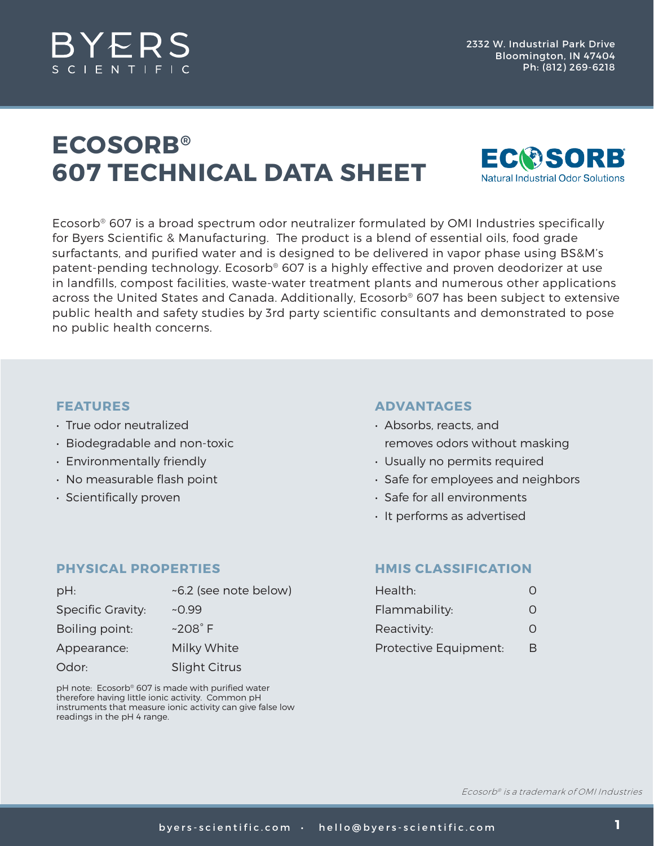

## **ECOSORB® 607 TECHNICAL DATA SHEET**



Ecosorb® 607 is a broad spectrum odor neutralizer formulated by OMI Industries specifically for Byers Scientific & Manufacturing. The product is a blend of essential oils, food grade surfactants, and purified water and is designed to be delivered in vapor phase using BS&M's patent-pending technology. Ecosorb® 607 is a highly effective and proven deodorizer at use in landfills, compost facilities, waste-water treatment plants and numerous other applications across the United States and Canada. Additionally, Ecosorb® 607 has been subject to extensive public health and safety studies by 3rd party scientific consultants and demonstrated to pose no public health concerns.

## **FEATURES**

- True odor neutralized
- Biodegradable and non-toxic
- Environmentally friendly
- No measurable flash point
- Scientifically proven

#### **ADVANTAGES**

- Absorbs, reacts, and removes odors without masking
- Usually no permits required
- Safe for employees and neighbors
- Safe for all environments
- It performs as advertised

## **PHYSICAL PROPERTIES**

| $pH$ :                   | ~6.2 (see note below) |  |
|--------------------------|-----------------------|--|
| <b>Specific Gravity:</b> | $-0.99$               |  |
| Boiling point:           | $~208^\circ$ F        |  |
| Appearance:              | Milky White           |  |
| Odor:                    | <b>Slight Citrus</b>  |  |

pH note: Ecosorb® 607 is made with purified water therefore having little ionic activity. Common pH instruments that measure ionic activity can give false low readings in the pH 4 range.

## **HMIS CLASSIFICATION**

| Health:               | Ω |
|-----------------------|---|
| Flammability:         | 0 |
| Reactivity:           | O |
| Protective Equipment: | R |

Ecosorb® is a trademark of OMI Industries